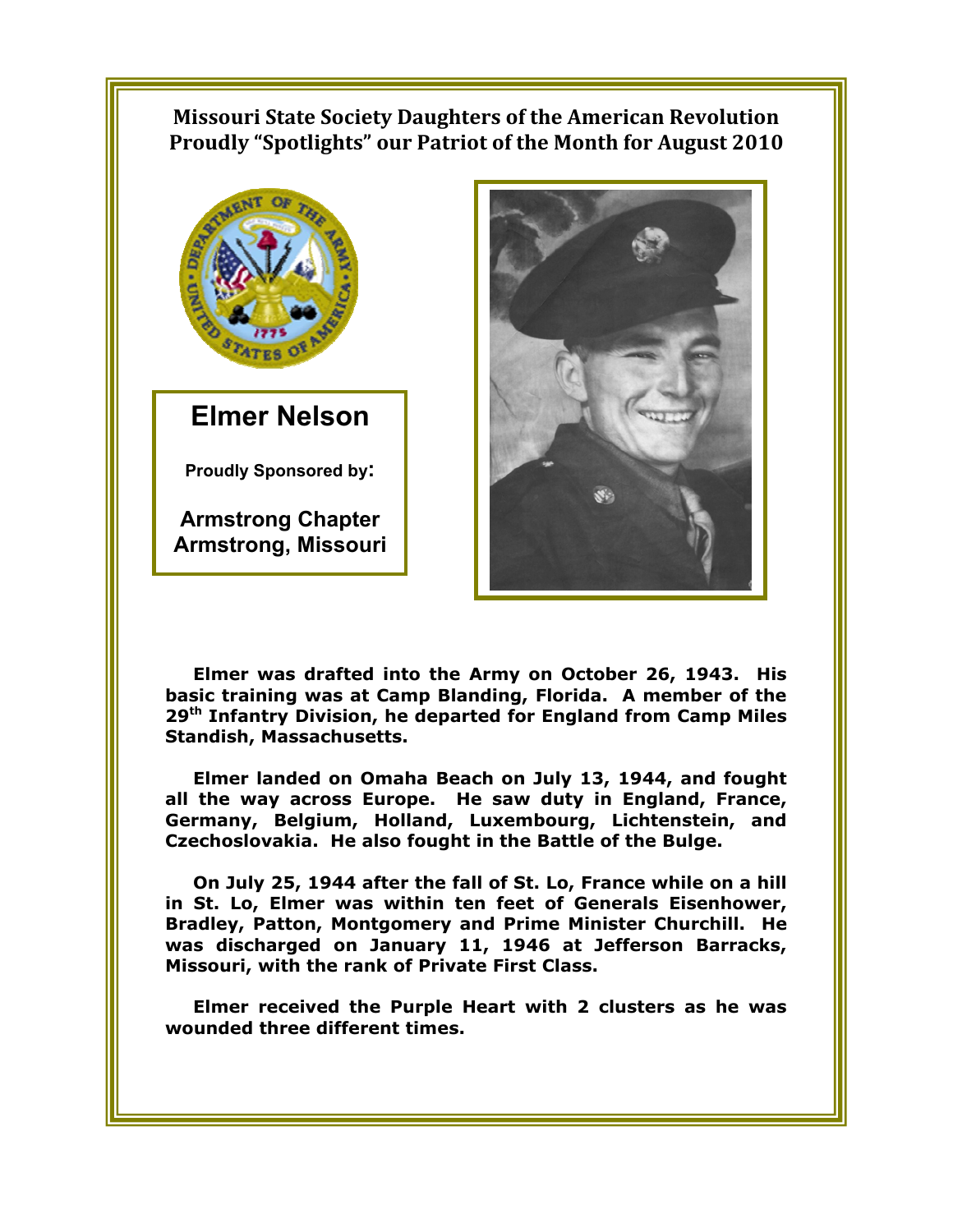## **Missouri State Society Daughters of the American Revolution Proudly "Spotlights" our Patriot of the Month for August 2010**



**Elmer Nelson** 

**Proudly Sponsored by:** 

**Armstrong Chapter Armstrong, Missouri** 



**Elmer was drafted into the Army on October 26, 1943. His basic training was at Camp Blanding, Florida. A member of the 29th Infantry Division, he departed for England from Camp Miles Standish, Massachusetts.** 

**Elmer landed on Omaha Beach on July 13, 1944, and fought all the way across Europe. He saw duty in England, France, Germany, Belgium, Holland, Luxembourg, Lichtenstein, and Czechoslovakia. He also fought in the Battle of the Bulge.** 

**On July 25, 1944 after the fall of St. Lo, France while on a hill in St. Lo, Elmer was within ten feet of Generals Eisenhower, Bradley, Patton, Montgomery and Prime Minister Churchill. He was discharged on January 11, 1946 at Jefferson Barracks, Missouri, with the rank of Private First Class.** 

**Elmer received the Purple Heart with 2 clusters as he was wounded three different times.**